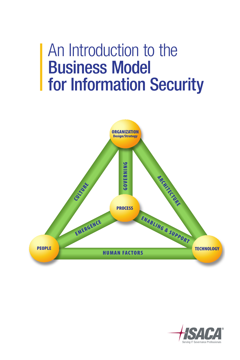# An Introduction to the Business Model for Information Security



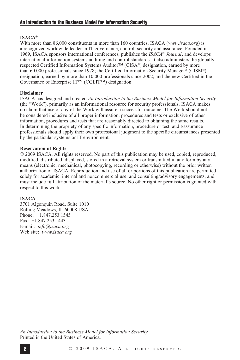#### **ISACA®**

With more than 86,000 constituents in more than 160 countries, ISACA (*www.isaca.org*) is a recognized worldwide leader in IT governance, control, security and assurance. Founded in 1969, ISACA sponsors international conferences, publishes the *ISACA*® *Journal*, and develops international information systems auditing and control standards. It also administers the globally respected Certified Information Systems Auditor™ (CISA®) designation, earned by more than 60,000 professionals since 1978; the Certified Information Security Manager® (CISM®) designation, earned by more than 10,000 professionals since 2002; and the new Certified in the Governance of Enterprise IT™ (CGEIT™) designation.

#### **Disclaimer**

ISACA has designed and created *An Introduction to the Business Model for Information Security* (the "Work"), primarily as an informational resource for security professionals. ISACA makes no claim that use of any of the Work will assure a successful outcome. The Work should not be considered inclusive of all proper information, procedures and tests or exclusive of other information, procedures and tests that are reasonably directed to obtaining the same results. In determining the propriety of any specific information, procedure or test, audit/assurance professionals should apply their own professional judgment to the specific circumstances presented by the particular systems or IT environment.

#### **Reservation of Rights**

© 2009 ISACA. All rights reserved. No part of this publication may be used, copied, reproduced, modified, distributed, displayed, stored in a retrieval system or transmitted in any form by any means (electronic, mechanical, photocopying, recording or otherwise) without the prior written authorization of ISACA. Reproduction and use of all or portions of this publication are permitted solely for academic, internal and noncommercial use, and consulting/advisory engagements, and must include full attribution of the material's source. No other right or permission is granted with respect to this work.

#### **ISACA**

3701 Algonquin Road, Suite 1010 Rolling Meadows, IL 60008 USA Phone: +1.847.253.1545 Fax: +1.847.253.1443 E-mail: *info@isaca.or*g Web site: *www.isaca.org*

*An Introduction to the Business Model for information Security* Printed in the United States of America.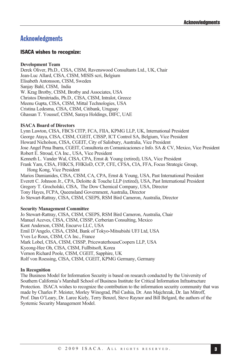# Acknowledgments

#### ISACA wishes to recognize:

#### **Development Team**

Derek Oliver, Ph.D., CISA, CISM, Ravenswood Consultants Ltd., UK, Chair Jean-Luc Allard, CISA, CISM, MISIS scri, Belgium Elisabeth Antonsson, CISM, Sweden Sanjay Bahl, CISM, India W. Krag Brotby, CISM, Brotby and Associates, USA Christos Dimitriadis, Ph.D., CISA, CISM, Intralot, Greece Meenu Gupta, CISA, CISM, Mittal Technologies, USA Cristina Ledesma, CISA, CISM, Citibank, Uruguay Ghassan T. Youssef, CISM, Saraya Holdings, DIFC, UAE

#### **ISACA Board of Directors**

Lynn Lawton, CISA, FBCS CITP, FCA, FIIA, KPMG LLP, UK, International President George Ataya, CISA, CISM, CGEIT, CISSP, ICT Control SA, Belgium, Vice President Howard Nicholson, CISA, CGEIT, City of Salisbury, Australia, Vice President Jose Angel Pena Ibarra, CGEIT, Consultoria en Comunicaciones e Info. SA & CV, Mexico, Vice President Robert E. Stroud, CA Inc., USA, Vice President Kenneth L. Vander Wal, CISA, CPA, Ernst & Young (retired), USA, Vice President Frank Yam, CISA, FHKCS, FHKIoD, CCP, CFE, CFSA, CIA, FFA, Focus Strategic Group, Hong Kong, Vice President Marios Damianides, CISA, CISM, CA, CPA, Ernst & Young, USA, Past International President Everett C. Johnson Jr., CPA, Deloitte & Touche LLP (retired), USA, Past International President Gregory T. Grocholski, CISA, The Dow Chemical Company, USA, Director Tony Hayes, FCPA, Queensland Government, Australia, Director Jo Stewart-Rattray, CISA, CISM, CSEPS, RSM Bird Cameron, Australia, Director

#### **Security Management Committee**

Jo Stewart-Rattray, CISA, CISM, CSEPS, RSM Bird Cameron, Australia, Chair Manuel Aceves, CISA, CISM, CISSP, Cerberian Consulting, Mexico Kent Anderson, CISM, Encurve LLC, USA Emil D'Angelo, CISA, CISM, Bank of Tokyo-Mitsubishi UFJ Ltd, USA Yves Le Roux, CISM, CA Inc., France Mark Lobel, CISA, CISM, CISSP, PricewaterhouseCoopers LLP, USA Kyeong-Hee Oh, CISA, CISM, Fullbitsoft, Korea Vernon Richard Poole, CISM, CGEIT, Sapphire, UK Rolf von Roessing, CISA, CISM, CGEIT, KPMG Germany, Germany

#### **In Recognition**

The Business Model for Information Security is based on research conducted by the University of Southern California's Marshall School of Business Institute for Critical Information Infrastructure Protection. ISACA wishes to recognize the contribution to the information security community that was made by Charles P. Meister, Morley Winograd, Phil Cashia, Dr. Ann Majchrzak, Dr. Ian Mitroff, Prof. Dan O'Leary, Dr. Laree Kiely, Terry Benzel, Steve Raynor and Bill Belgard, the authors of the Systemic Security Management Model.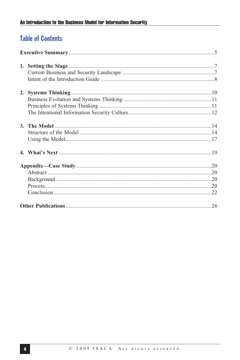# **Table of Contents**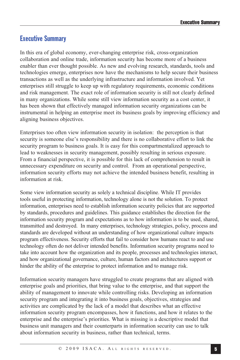# Executive Summary

In this era of global economy, ever-changing enterprise risk, cross-organization collaboration and online trade, information security has become more of a business enabler than ever thought possible. As new and evolving research, standards, tools and technologies emerge, enterprises now have the mechanisms to help secure their business transactions as well as the underlying infrastructure and information involved. Yet enterprises still struggle to keep up with regulatory requirements, economic conditions and risk management. The exact role of information security is still not clearly defined in many organizations. While some still view information security as a cost center, it has been shown that effectively managed information security organizations can be instrumental in helping an enterprise meet its business goals by improving efficiency and aligning business objectives.

Enterprises too often view information security in isolation: the perception is that security is someone else's responsibility and there is no collaborative effort to link the security program to business goals. It is easy for this compartmentalized approach to lead to weaknesses in security management, possibly resulting in serious exposure. From a financial perspective, it is possible for this lack of comprehension to result in unnecessary expenditure on security and control. From an operational perspective, information security efforts may not achieve the intended business benefit, resulting in information at risk.

Some view information security as solely a technical discipline. While IT provides tools useful in protecting information, technology alone is not the solution. To protect information, enterprises need to establish information security policies that are supported by standards, procedures and guidelines. This guidance establishes the direction for the information security program and expectations as to how information is to be used, shared, transmitted and destroyed. In many enterprises, technology strategies, policy, process and standards are developed without an understanding of how organizational culture impacts program effectiveness. Security efforts that fail to consider how humans react to and use technology often do not deliver intended benefits. Information security programs need to take into account how the organization and its people, processes and technologies interact, and how organizational governance, culture, human factors and architectures support or hinder the ability of the enterprise to protect information and to manage risk.

Information security managers have struggled to create programs that are aligned with enterprise goals and priorities, that bring value to the enterprise, and that support the ability of management to innovate while controlling risks. Developing an information security program and integrating it into business goals, objectives, strategies and activities are complicated by the lack of a model that describes what an effective information security program encompasses, how it functions, and how it relates to the enterprise and the enterprise's priorities. What is missing is a descriptive model that business unit managers and their counterparts in information security can use to talk about information security in business, rather than technical, terms.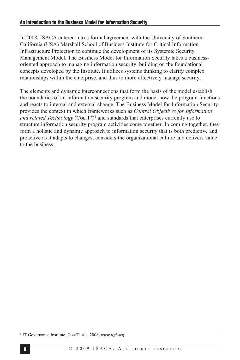In 2008, ISACA entered into a formal agreement with the University of Southern California (USA) Marshall School of Business Institute for Critical Information Infrastructure Protection to continue the development of its Systemic Security Management Model. The Business Model for Information Security takes a businessoriented approach to managing information security, building on the foundational concepts developed by the Institute. It utilizes systems thinking to clarify complex relationships within the enterprise, and thus to more effectively manage security.

The elements and dynamic interconnections that form the basis of the model establish the boundaries of an information security program and model how the program functions and reacts to internal and external change. The Business Model for Information Security provides the context in which frameworks such as *Control Objectives for Information*  and related Technology  $(Co$ BIT<sup>®</sup>)<sup>1</sup> and standards that enterprises currently use to structure information security program activities come together. In coming together, they form a holistic and dynamic approach to information security that is both predictive and proactive as it adapts to changes, considers the organizational culture and delivers value to the business.

1 IT Governance Institute, CobiT® 4.1, 2008, *www.itgi.org*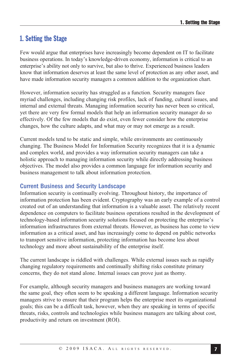# 1. Setting the Stage

Few would argue that enterprises have increasingly become dependent on IT to facilitate business operations. In today's knowledge-driven economy, information is critical to an enterprise's ability not only to survive, but also to thrive. Experienced business leaders know that information deserves at least the same level of protection as any other asset, and have made information security managers a common addition to the organization chart.

However, information security has struggled as a function. Security managers face myriad challenges, including changing risk profiles, lack of funding, cultural issues, and internal and external threats. Managing information security has never been so critical, yet there are very few formal models that help an information security manager do so effectively. Of the few models that do exist, even fewer consider how the enterprise changes, how the culture adapts, and what may or may not emerge as a result.

Current models tend to be static and simple, while environments are continuously changing. The Business Model for Information Security recognizes that it is a dynamic and complex world, and provides a way information security managers can take a holistic approach to managing information security while directly addressing business objectives. The model also provides a common language for information security and business management to talk about information protection.

## Current Business and Security Landscape

Information security is continually evolving. Throughout history, the importance of information protection has been evident. Cryptography was an early example of a control created out of an understanding that information is a valuable asset. The relatively recent dependence on computers to facilitate business operations resulted in the development of technology-based information security solutions focused on protecting the enterprise's information infrastructures from external threats. However, as business has come to view information as a critical asset, and has increasingly come to depend on public networks to transport sensitive information, protecting information has become less about technology and more about sustainability of the enterprise itself.

The current landscape is riddled with challenges. While external issues such as rapidly changing regulatory requirements and continually shifting risks constitute primary concerns, they do not stand alone. Internal issues can prove just as thorny.

For example, although security managers and business managers are working toward the same goal, they often seem to be speaking a different language. Information security managers strive to ensure that their program helps the enterprise meet its organizational goals; this can be a difficult task, however, when they are speaking in terms of specific threats, risks, controls and technologies while business managers are talking about cost, productivity and return on investment (ROI).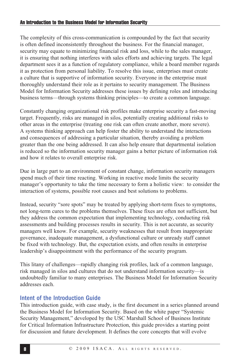#### An Introduction to the Business Model for Information Security

The complexity of this cross-communication is compounded by the fact that security is often defined inconsistently throughout the business. For the financial manager, security may equate to minimizing financial risk and loss, while to the sales manager, it is ensuring that nothing interferes with sales efforts and achieving targets. The legal department sees it as a function of regulatory compliance, while a board member regards it as protection from personal liability. To resolve this issue, enterprises must create a culture that is supportive of information security. Everyone in the enterprise must thoroughly understand their role as it pertains to security management. The Business Model for Information Security addresses these issues by defining roles and introducing business terms—through systems thinking principles—to create a common language.

Constantly changing organizational risk profiles make enterprise security a fast-moving target. Frequently, risks are managed in silos, potentially creating additional risks to other areas in the enterprise (treating one risk can often create another, more severe). A systems thinking approach can help foster the ability to understand the interactions and consequences of addressing a particular situation, thereby avoiding a problem greater than the one being addressed. It can also help ensure that departmental isolation is reduced so the information security manager gains a better picture of information risk and how it relates to overall enterprise risk.

Due in large part to an environment of constant change, information security managers spend much of their time reacting. Working in reactive mode limits the security manager's opportunity to take the time necessary to form a holistic view: to consider the interaction of systems, possible root causes and best solutions to problems.

Instead, security "sore spots" may be treated by applying short-term fixes to symptoms, not long-term cures to the problems themselves. These fixes are often not sufficient, but they address the common expectation that implementing technology, conducting risk assessments and building processes results in security. This is not accurate, as security managers well know. For example, security weaknesses that result from inappropriate governance, inadequate management, a dysfunctional culture or unready staff cannot be fixed with technology. But, the expectation exists, and often results in enterprise leadership's disappointment with the performance of the security program.

This litany of challenges—rapidly changing risk profiles, lack of a common language, risk managed in silos and cultures that do not understand information security—is undoubtedly familiar to many enterprises. The Business Model for Information Security addresses each.

## Intent of the Introduction Guide

This introduction guide, with case study, is the first document in a series planned around the Business Model for Information Security. Based on the white paper "Systemic Security Management," developed by the USC Marshall School of Business Institute for Critical Information Infrastructure Protection, this guide provides a starting point for discussion and future development. It defines the core concepts that will evolve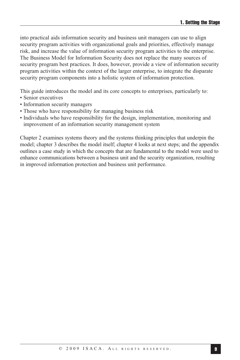into practical aids information security and business unit managers can use to align security program activities with organizational goals and priorities, effectively manage risk, and increase the value of information security program activities to the enterprise. The Business Model for Information Security does not replace the many sources of security program best practices. It does, however, provide a view of information security program activities within the context of the larger enterprise, to integrate the disparate security program components into a holistic system of information protection.

This guide introduces the model and its core concepts to enterprises, particularly to:

- Senior executives
- Information security managers
- Those who have responsibility for managing business risk
- Individuals who have responsibility for the design, implementation, monitoring and improvement of an information security management system

Chapter 2 examines systems theory and the systems thinking principles that underpin the model; chapter 3 describes the model itself; chapter 4 looks at next steps; and the appendix outlines a case study in which the concepts that are fundamental to the model were used to enhance communications between a business unit and the security organization, resulting in improved information protection and business unit performance.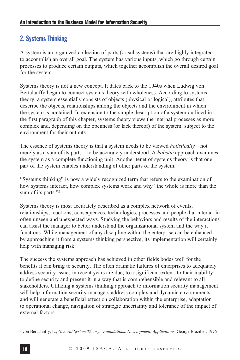# 2. Systems Thinking

A system is an organized collection of parts (or subsystems) that are highly integrated to accomplish an overall goal. The system has various inputs, which go through certain processes to produce certain outputs, which together accomplish the overall desired goal for the system.

Systems theory is not a new concept. It dates back to the 1940s when Ludwig von Bertalanffy began to connect systems theory with wholeness. According to systems theory, a system essentially consists of objects (physical or logical), attributes that describe the objects, relationships among the objects and the environment in which the system is contained. In extension to the simple description of a system outlined in the first paragraph of this chapter, systems theory views the internal processes as more complex and, depending on the openness (or lack thereof) of the system, subject to the environment for their outputs.

The essence of systems theory is that a system needs to be viewed *holistically*—not merely as a sum of its parts—to be accurately understood. A *holistic* approach examines the system as a complete functioning unit. Another tenet of systems theory is that one part of the system enables understanding of other parts of the system.

"Systems thinking" is now a widely recognized term that refers to the examination of how systems interact, how complex systems work and why "the whole is more than the sum of its parts."2

Systems theory is most accurately described as a complex network of events, relationships, reactions, consequences, technologies, processes and people that interact in often unseen and unexpected ways. Studying the behaviors and results of the interactions can assist the manager to better understand the organizational system and the way it functions. While management of any discipline within the enterprise can be enhanced by approaching it from a systems thinking perspective, its implementation will certainly help with managing risk.

The success the systems approach has achieved in other fields bodes well for the benefits it can bring to security. The often dramatic failures of enterprises to adequately address security issues in recent years are due, to a significant extent, to their inability to define security and present it in a way that is comprehensible and relevant to all stakeholders. Utilizing a systems thinking approach to information security management will help information security managers address complex and dynamic environments, and will generate a beneficial effect on collaboration within the enterprise, adaptation to operational change, navigation of strategic uncertainty and tolerance of the impact of external factors.

<sup>2</sup> von Bertalanffy, L.; *General System Theory: Foundations, Development, Applications*, George Braziller, 1976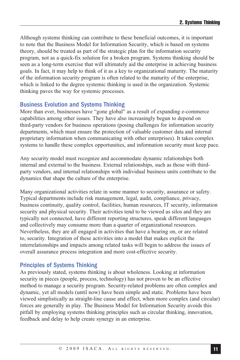Although systems thinking can contribute to these beneficial outcomes, it is important to note that the Business Model for Information Security, which is based on systems theory, should be treated as part of the strategic plan for the information security program, not as a quick-fix solution for a broken program. Systems thinking should be seen as a long-term exercise that will ultimately aid the enterprise in achieving business goals. In fact, it may help to think of it as a key to organizational maturity. The maturity of the information security program is often related to the maturity of the enterprise, which is linked to the degree systemic thinking is used in the organization. Systemic thinking paves the way for systemic processes.

## Business Evolution and Systems Thinking

More than ever, businesses have "gone global" as a result of expanding e-commerce capabilities among other issues. They have also increasingly begun to depend on third-party vendors for business operations (posing challenges for information security departments, which must ensure the protection of valuable customer data and internal proprietary information when communicating with other enterprises). It takes complex systems to handle these complex opportunities, and information security must keep pace.

Any security model must recognize and accommodate dynamic relationships both internal and external to the business. External relationships, such as those with thirdparty vendors, and internal relationships with individual business units contribute to the dynamics that shape the culture of the enterprise.

Many organizational activities relate in some manner to security, assurance or safety. Typical departments include risk management, legal, audit, compliance, privacy, business continuity, quality control, facilities, human resources, IT security, information security and physical security. Their activities tend to be viewed as silos and they are typically not connected, have different reporting structures, speak different languages and collectively may consume more than a quarter of organizational resources. Nevertheless, they are all engaged in activities that have a bearing on, or are related to, security. Integration of these activities into a model that makes explicit the interrelationships and impacts among related tasks will begin to address the issues of overall assurance process integration and more cost-effective security.

## Principles of Systems Thinking

As previously stated, systems thinking is about wholeness. Looking at information security in pieces (people, process, technology) has not proven to be an effective method to manage a security program. Security-related problems are often complex and dynamic, yet all models (until now) have been simple and static. Problems have been viewed simplistically as straight-line cause and effect, when more complex (and circular) forces are generally in play. The Business Model for Information Security avoids this pitfall by employing systems thinking principles such as circular thinking, innovation, feedback and delay to help create synergy in an enterprise.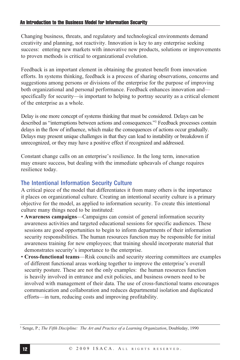Changing business, threats, and regulatory and technological environments demand creativity and planning, not reactivity. Innovation is key to any enterprise seeking success: entering new markets with innovative new products, solutions or improvements to proven methods is critical to organizational evolution.

Feedback is an important element in obtaining the greatest benefit from innovation efforts. In systems thinking, feedback is a process of sharing observations, concerns and suggestions among persons or divisions of the enterprise for the purpose of improving both organizational and personal performance. Feedback enhances innovation and specifically for security—is important to helping to portray security as a critical element of the enterprise as a whole.

Delay is one more concept of systems thinking that must be considered. Delays can be described as "interruptions between actions and consequences."3 Feedback processes contain delays in the flow of influence, which make the consequences of actions occur gradually. Delays may present unique challenges in that they can lead to instability or breakdown if unrecognized, or they may have a positive effect if recognized and addressed.

Constant change calls on an enterprise's resilience. In the long term, innovation may ensure success, but dealing with the immediate upheavals of change requires resilience today.

# The Intentional Information Security Culture

A critical piece of the model that differentiates it from many others is the importance it places on organizational culture. Creating an intentional security culture is a primary objective for the model, as applied to information security. To create this intentional culture many things need to be instituted:

- **Awareness campaigns**—Campaigns can consist of general information security awareness activities and targeted educational sessions for specific audiences. These sessions are good opportunities to begin to inform departments of their information security responsibilities. The human resources function may be responsible for initial awareness training for new employees; that training should incorporate material that demonstrates security's importance to the enterprise.
- **Cross-functional teams**—Risk councils and security steering committees are examples of different functional areas working together to improve the enterprise's overall security posture. These are not the only examples: the human resources function is heavily involved in entrance and exit policies, and business owners need to be involved with management of their data. The use of cross-functional teams encourages communication and collaboration and reduces departmental isolation and duplicated efforts—in turn, reducing costs and improving profitability.

<sup>3</sup> Senge, P.; *The Fifth Discipline: The Art and Practice of a Learning Organization*, Doubleday, 1990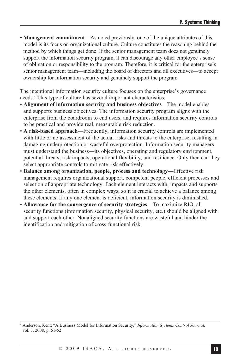• **Management commitment**—As noted previously, one of the unique attributes of this model is its focus on organizational culture. Culture constitutes the reasoning behind the method by which things get done. If the senior management team does not genuinely support the information security program, it can discourage any other employee's sense of obligation or responsibility to the program. Therefore, it is critical for the enterprise's senior management team—including the board of directors and all executives—to accept ownership for information security and genuinely support the program.

The intentional information security culture focuses on the enterprise's governance needs.4 This type of culture has several important characteristics:

- **Alignment of information security and business objectives**—The model enables and supports business objectives. The information security program aligns with the enterprise from the boardroom to end users, and requires information security controls to be practical and provide real, measurable risk reduction.
- **A risk-based approach**—Frequently, information security controls are implemented with little or no assessment of the actual risks and threats to the enterprise, resulting in damaging underprotection or wasteful overprotection. Information security managers must understand the business—its objectives, operating and regulatory environment, potential threats, risk impacts, operational flexibility, and resilience. Only then can they select appropriate controls to mitigate risk effectively.
- **Balance among organization, people, process and technology**—Effective risk management requires organizational support, competent people, efficient processes and selection of appropriate technology. Each element interacts with, impacts and supports the other elements, often in complex ways, so it is crucial to achieve a balance among these elements. If any one element is deficient, information security is diminished.
- **Allowance for the convergence of security strategies**—To maximize RIO, all security functions (information security, physical security, etc.) should be aligned with and support each other. Nonaligned security functions are wasteful and hinder the identification and mitigation of cross-functional risk.

<sup>4</sup> Anderson, Kent; "A Business Model for Information Security," *Information Systems Control Journal*, vol. 3, 2008, p. 51-52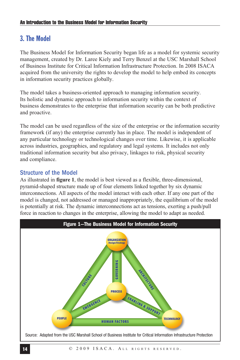# 3. The Model

The Business Model for Information Security began life as a model for systemic security management, created by Dr. Laree Kiely and Terry Benzel at the USC Marshall School of Business Institute for Critical Information Infrastructure Protection. In 2008 ISACA acquired from the university the rights to develop the model to help embed its concepts in information security practices globally.

The model takes a business-oriented approach to managing information security. Its holistic and dynamic approach to information security within the context of business demonstrates to the enterprise that information security can be both predictive and proactive.

The model can be used regardless of the size of the enterprise or the information security framework (if any) the enterprise currently has in place. The model is independent of any particular technology or technological changes over time. Likewise, it is applicable across industries, geographies, and regulatory and legal systems. It includes not only traditional information security but also privacy, linkages to risk, physical security and compliance.

# Structure of the Model

As illustrated in **figure 1**, the model is best viewed as a flexible, three-dimensional, pyramid-shaped structure made up of four elements linked together by six dynamic interconnections. All aspects of the model interact with each other. If any one part of the model is changed, not addressed or managed inappropriately, the equilibrium of the model is potentially at risk. The dynamic interconnections act as tensions, exerting a push/pull force in reaction to changes in the enterprise, allowing the model to adapt as needed.

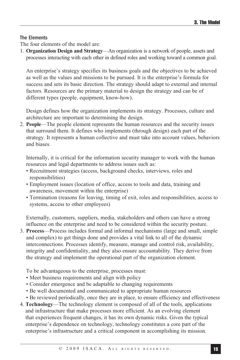#### The Elements

The four elements of the model are:

1. **Organization Design and Strategy**—An organization is a network of people, assets and processes interacting with each other in defined roles and working toward a common goal.

An enterprise's strategy specifies its business goals and the objectives to be achieved as well as the values and missions to be pursued. It is the enterprise's formula for success and sets its basic direction. The strategy should adapt to external and internal factors. Resources are the primary material to design the strategy and can be of different types (people, equipment, know-how).

Design defines how the organization implements its strategy. Processes, culture and architecture are important to determining the design.

2. **People**—The people element represents the human resources and the security issues that surround them. It defines who implements (through design) each part of the strategy. It represents a human collective and must take into account values, behaviors and biases.

Internally, it is critical for the information security manager to work with the human resources and legal departments to address issues such as:

- Recruitment strategies (access, background checks, interviews, roles and responsibilities)
- Employment issues (location of office, access to tools and data, training and awareness, movement within the enterprise)
- Termination (reasons for leaving, timing of exit, roles and responsibilities, access to systems, access to other employees)

 Externally, customers, suppliers, media, stakeholders and others can have a strong influence on the enterprise and need to be considered within the security posture.

3. **Process**—Process includes formal and informal mechanisms (large and small, simple and complex) to get things done and provides a vital link to all of the dynamic interconnections. Processes identify, measure, manage and control risk, availability, integrity and confidentiality, and they also ensure accountability. They derive from the strategy and implement the operational part of the organization element.

To be advantageous to the enterprise, processes must:

- Meet business requirements and align with policy
- Consider emergence and be adaptable to changing requirements
- Be well documented and communicated to appropriate human resources
- Be reviewed periodically, once they are in place, to ensure efficiency and effectiveness
- 4. **Technology**—The technology element is composed of all of the tools, applications and infrastructure that make processes more efficient. As an evolving element that experiences frequent changes, it has its own dynamic risks. Given the typical enterprise's dependence on technology, technology constitutes a core part of the enterprise's infrastructure and a critical component in accomplishing its mission.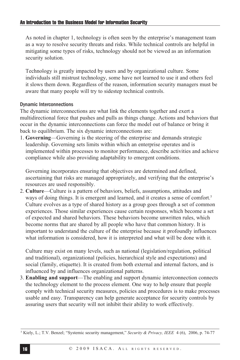As noted in chapter 1, technology is often seen by the enterprise's management team as a way to resolve security threats and risks. While technical controls are helpful in mitigating some types of risks, technology should not be viewed as an information security solution.

Technology is greatly impacted by users and by organizational culture. Some individuals still mistrust technology, some have not learned to use it and others feel it slows them down. Regardless of the reason, information security managers must be aware that many people will try to sidestep technical controls.

#### Dynamic Interconnections

The dynamic interconnections are what link the elements together and exert a multidirectional force that pushes and pulls as things change. Actions and behaviors that occur in the dynamic interconnections can force the model out of balance or bring it back to equilibrium. The six dynamic interconnections are:

1. **Governing**—Governing is the steering of the enterprise and demands strategic leadership. Governing sets limits within which an enterprise operates and is implemented within processes to monitor performance, describe activities and achieve compliance while also providing adaptability to emergent conditions.

Governing incorporates ensuring that objectives are determined and defined, ascertaining that risks are managed appropriately, and verifying that the enterprise's resources are used responsibly.

2. **Culture**—Culture is a pattern of behaviors, beliefs, assumptions, attitudes and ways of doing things. It is emergent and learned, and it creates a sense of comfort.<sup>5</sup> Culture evolves as a type of shared history as a group goes through a set of common experiences. Those similar experiences cause certain responses, which become a set of expected and shared behaviors. These behaviors become unwritten rules, which become norms that are shared by all people who have that common history. It is important to understand the culture of the enterprise because it profoundly influences what information is considered, how it is interpreted and what will be done with it.

Culture may exist on many levels, such as national (legislation/regulation, political and traditional), organizational (policies, hierarchical style and expectations) and social (family, etiquette). It is created from both external and internal factors, and is influenced by and influences organizational patterns.

3. **Enabling and support**—The enabling and support dynamic interconnection connects the technology element to the process element. One way to help ensure that people comply with technical security measures, policies and procedures is to make processes usable and easy. Transparency can help generate acceptance for security controls by assuring users that security will not inhibit their ability to work effectively.

<sup>5</sup> Kiely, L.; T.V. Benzel; "Systemic security management," *Security & Privacy, IEEE* 4 (6), 2006, p. 74-77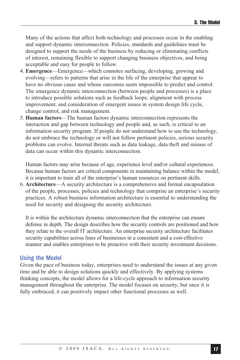Many of the actions that affect both technology and processes occur in the enabling and support dynamic interconnection. Policies, standards and guidelines must be designed to support the needs of the business by reducing or eliminating conflicts of interest, remaining flexible to support changing business objectives, and being acceptable and easy for people to follow.

- 4. **Emergence**—Emergence—which connotes surfacing, developing, growing and evolving—refers to patterns that arise in the life of the enterprise that appear to have no obvious cause and whose outcomes seem impossible to predict and control. The emergence dynamic interconnection (between people and processes) is a place to introduce possible solutions such as feedback loops; alignment with process improvement; and consideration of emergent issues in system design life cycle, change control, and risk management.
- 5. **Human factors**—The human factors dynamic interconnection represents the interaction and gap between technology and people and, as such, is critical to an information security program. If people do not understand how to use the technology, do not embrace the technology or will not follow pertinent policies, serious security problems can evolve. Internal threats such as data leakage, data theft and misuse of data can occur within this dynamic interconnection.

Human factors may arise because of age, experience level and/or cultural experiences. Because human factors are critical components in maintaining balance within the model, it is important to train all of the enterprise's human resources on pertinent skills.

6. **Architecture**—A security architecture is a comprehensive and formal encapsulation of the people, processes, policies and technology that comprise an enterprise's security practices. A robust business information architecture is essential to understanding the need for security and designing the security architecture.

It is within the architecture dynamic interconnection that the enterprise can ensure defense in depth. The design describes how the security controls are positioned and how they relate to the overall IT architecture. An enterprise security architecture facilitates security capabilities across lines of businesses in a consistent and a cost-effective manner and enables enterprises to be proactive with their security investment decisions.

## Using the Model

Given the pace of business today, enterprises need to understand the issues at any given time and be able to design solutions quickly and effectively. By applying systems thinking concepts, the model allows for a life-cycle approach to information security management throughout the enterprise. The model focuses on security, but once it is fully embraced, it can positively impact other functional processes as well.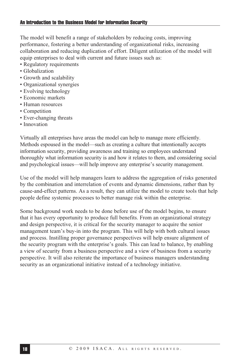The model will benefit a range of stakeholders by reducing costs, improving performance, fostering a better understanding of organizational risks, increasing collaboration and reducing duplication of effort. Diligent utilization of the model will equip enterprises to deal with current and future issues such as:

- Regulatory requirements
- Globalization
- Growth and scalability
- Organizational synergies
- Evolving technology
- Economic markets
- Human resources
- Competition
- Ever-changing threats
- Innovation

Virtually all enterprises have areas the model can help to manage more efficiently. Methods espoused in the model—such as creating a culture that intentionally accepts information security, providing awareness and training so employees understand thoroughly what information security is and how it relates to them, and considering social and psychological issues—will help improve any enterprise's security management.

Use of the model will help managers learn to address the aggregation of risks generated by the combination and interrelation of events and dynamic dimensions, rather than by cause-and-effect patterns. As a result, they can utilize the model to create tools that help people define systemic processes to better manage risk within the enterprise.

Some background work needs to be done before use of the model begins, to ensure that it has every opportunity to produce full benefits. From an organizational strategy and design perspective, it is critical for the security manager to acquire the senior management team's buy-in into the program. This will help with both cultural issues and process. Instilling proper governance perspectives will help ensure alignment of the security program with the enterprise's goals. This can lead to balance, by enabling a view of security from a business perspective and a view of business from a security perspective. It will also reiterate the importance of business managers understanding security as an organizational initiative instead of a technology initiative.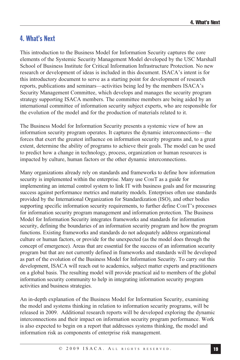# 4. What's Next

This introduction to the Business Model for Information Security captures the core elements of the Systemic Security Management Model developed by the USC Marshall School of Business Institute for Critical Information Infrastructure Protection. No new research or development of ideas is included in this document. ISACA's intent is for this introductory document to serve as a starting point for development of research reports, publications and seminars—activities being led by the members ISACA's Security Management Committee, which develops and manages the security program strategy supporting ISACA members. The committee members are being aided by an international committee of information security subject experts, who are responsible for the evolution of the model and for the production of materials related to it.

The Business Model for Information Security presents a systemic view of how an information security program operates. It captures the dynamic interconnections—the forces that exert the greatest influence on information security programs and, to a great extent, determine the ability of programs to achieve their goals. The model can be used to predict how a change in technology, process, organization or human resources is impacted by culture, human factors or the other dynamic interconnections.

Many organizations already rely on standards and frameworks to define how information security is implemented within the enterprise. Many use COBIT as a guide for implementing an internal control system to link IT with business goals and for measuring success against performance metrics and maturity models. Enterprises often use standards provided by the International Organization for Standardization (ISO), and other bodies supporting specific information security requirements, to further define CobiT's processes for information security program management and information protection. The Business Model for Information Security integrates frameworks and standards for information security, defining the boundaries of an information security program and how the program functions. Existing frameworks and standards do not adequately address organizational culture or human factors, or provide for the unexpected (as the model does through the concept of emergence). Areas that are essential for the success of an information security program but that are not currently defined in frameworks and standards will be developed as part of the evolution of the Business Model for Information Security. To carry out this development, ISACA will reach out to academics, subject matter experts and practitioners on a global basis. The resulting model will provide practical aid to members of the global information security community to help in integrating information security program activities and business strategies.

An in-depth explanation of the Business Model for Information Security, examining the model and systems thinking in relation to information security programs, will be released in 2009. Additional research reports will be developed exploring the dynamic interconnections and their impact on information security program performance. Work is also expected to begin on a report that addresses systems thinking, the model and information risk as components of enterprise risk management.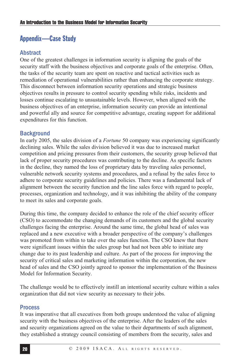# Appendix—Case Study

# Abstract

One of the greatest challenges in information security is aligning the goals of the security staff with the business objectives and corporate goals of the enterprise. Often, the tasks of the security team are spent on reactive and tactical activities such as remediation of operational vulnerabilities rather than enhancing the corporate strategy. This disconnect between information security operations and strategic business objectives results in pressure to control security spending while risks, incidents and losses continue escalating to unsustainable levels. However, when aligned with the business objectives of an enterprise, information security can provide an intentional and powerful ally and source for competitive advantage, creating support for additional expenditures for this function.

# **Background**

In early 2005, the sales division of a *Fortune* 50 company was experiencing significantly declining sales. While the sales division believed it was due to increased market competition and pricing pressures from their customers, the security group believed that lack of proper security procedures was contributing to the decline. As specific factors in the decline, they named the loss of proprietary data by traveling sales personnel, vulnerable network security systems and procedures, and a refusal by the sales force to adhere to corporate security guidelines and policies. There was a fundamental lack of alignment between the security function and the line sales force with regard to people, processes, organization and technology, and it was inhibiting the ability of the company to meet its sales and corporate goals.

During this time, the company decided to enhance the role of the chief security officer (CSO) to accommodate the changing demands of its customers and the global security challenges facing the enterprise. Around the same time, the global head of sales was replaced and a new executive with a broader perspective of the company's challenges was promoted from within to take over the sales function. The CSO knew that there were significant issues within the sales group but had not been able to initiate any change due to its past leadership and culture. As part of the process for improving the security of critical sales and marketing information within the corporation, the new head of sales and the CSO jointly agreed to sponsor the implementation of the Business Model for Information Security.

The challenge would be to effectively instill an intentional security culture within a sales organization that did not view security as necessary to their jobs.

## **Process**

It was imperative that all executives from both groups understood the value of aligning security with the business objectives of the enterprise. After the leaders of the sales and security organizations agreed on the value to their departments of such alignment, they established a strategy council consisting of members from the security, sales and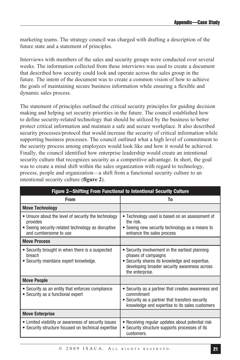marketing teams. The strategy council was charged with drafting a description of the future state and a statement of principles.

Interviews with members of the sales and security groups were conducted over several weeks. The information collected from these interviews was used to create a document that described how security could look and operate across the sales group in the future. The intent of the document was to create a common vision of how to achieve the goals of maintaining secure business information while ensuring a flexible and dynamic sales process.

The statement of principles outlined the critical security principles for guiding decision making and helping set security priorities in the future. The council established how to define security-related technology that should be utilized by the business to better protect critical information and maintain a safe and secure workplace. It also described security processes/protocol that would increase the security of critical information while supporting business processes. The council outlined what a high level of commitment to the security process among employees would look like and how it would be achieved. Finally, the council identified how enterprise leadership would create an intentional security culture that recognizes security as a competitive advantage. In short, the goal was to create a mind shift within the sales organization with regard to technology, process, people and organization—a shift from a functional security culture to an intentional security culture (**figure 2**).

| Figure 2-Shifting From Functional to Intentional Security Culture                                                                              |                                                                                                                                                                                             |  |  |
|------------------------------------------------------------------------------------------------------------------------------------------------|---------------------------------------------------------------------------------------------------------------------------------------------------------------------------------------------|--|--|
| <b>From</b>                                                                                                                                    | Τo                                                                                                                                                                                          |  |  |
| <b>Move Technology</b>                                                                                                                         |                                                                                                                                                                                             |  |  |
| • Unsure about the level of security the technology<br>provides<br>• Seeing security-related technology as disruptive<br>and cumbersome to use | • Technology used is based on an assessment of<br>the risk.<br>• Seeing new security technology as a means to<br>enhance the sales process                                                  |  |  |
| <b>Move Process</b>                                                                                                                            |                                                                                                                                                                                             |  |  |
| • Security brought in when there is a suspected<br>breach<br>• Security maintains expert knowledge.                                            | • Security involvement in the earliest planning<br>phases of campaigns<br>• Security shares its knowledge and expertise,<br>developing broader security awareness across<br>the enterprise. |  |  |
| <b>Move People</b>                                                                                                                             |                                                                                                                                                                                             |  |  |
| • Security as an entity that enforces compliance<br>• Security as a functional expert                                                          | • Security as a partner that creates awareness and<br>commitment<br>• Security as a partner that transfers security<br>knowledge and expertise to its sales customers                       |  |  |
| <b>Move Enterprise</b>                                                                                                                         |                                                                                                                                                                                             |  |  |
| • Limited visibility or awareness of security issues<br>• Security structure focused on technical expertise                                    | • Receiving regular updates about potential risk<br>• Security structure supports processes of its<br>customers.                                                                            |  |  |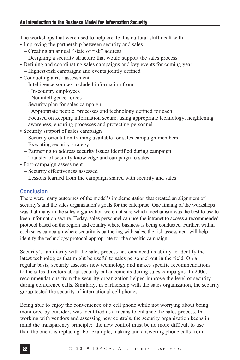#### An Introduction to the Business Model for Information Security

The workshops that were used to help create this cultural shift dealt with:

- Improving the partnership between security and sales
	- Creating an annual "state of risk" address
	- Designing a security structure that would support the sales process
- Defining and coordinating sales campaigns and key events for coming year – Highest-risk campaigns and events jointly defined
- Conducting a risk assessment
	- Intelligence sources included information from:
		- . In-country employees
		- . Nonintelligence forces
	- Security plan for sales campaign
		- . Appropriate people, processes and technology defined for each
	- Focused on keeping information secure, using appropriate technology, heightening awareness, ensuring processes and protecting personnel
- Security support of sales campaign
	- Security orientation training available for sales campaign members
	- Executing security strategy
	- Partnering to address security issues identified during campaign
	- Transfer of security knowledge and campaign to sales
- Post-campaign assessment
	- Security effectiveness assessed
	- Lessons learned from the campaign shared with security and sales

# Conclusion

There were many outcomes of the model's implementation that created an alignment of security's and the sales organization's goals for the enterprise. One finding of the workshops was that many in the sales organization were not sure which mechanism was the best to use to keep information secure. Today, sales personnel can use the intranet to access a recommended protocol based on the region and country where business is being conducted. Further, within each sales campaign where security is partnering with sales, the risk assessment will help identify the technology protocol appropriate for the specific campaign.

Security's familiarity with the sales process has enhanced its ability to identify the latest technologies that might be useful to sales personnel out in the field. On a regular basis, security assesses new technology and makes specific recommendations to the sales directors about security enhancements during sales campaigns. In 2006, recommendations from the security organization helped improve the level of security during conference calls. Similarly, in partnership with the sales organization, the security group tested the security of international cell phones.

Being able to enjoy the convenience of a cell phone while not worrying about being monitored by outsiders was identified as a means to enhance the sales process. In working with vendors and assessing new controls, the security organization keeps in mind the transparency principle: the new control must be no more difficult to use than the one it is replacing. For example, making and answering phone calls from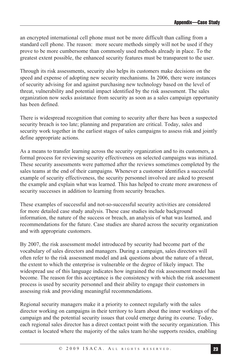an encrypted international cell phone must not be more difficult than calling from a standard cell phone. The reason: more secure methods simply will not be used if they prove to be more cumbersome than commonly used methods already in place. To the greatest extent possible, the enhanced security features must be transparent to the user.

Through its risk assessments, security also helps its customers make decisions on the speed and expense of adopting new security mechanisms. In 2006, there were instances of security advising for and against purchasing new technology based on the level of threat, vulnerability and potential impact identified by the risk assessment. The sales organization now seeks assistance from security as soon as a sales campaign opportunity has been defined.

There is widespread recognition that coming to security after there has been a suspected security breach is too late; planning and preparation are critical. Today, sales and security work together in the earliest stages of sales campaigns to assess risk and jointly define appropriate actions.

As a means to transfer learning across the security organization and to its customers, a formal process for reviewing security effectiveness on selected campaigns was initiated. These security assessments were patterned after the reviews sometimes completed by the sales teams at the end of their campaigns. Whenever a customer identifies a successful example of security effectiveness, the security personnel involved are asked to present the example and explain what was learned. This has helped to create more awareness of security successes in addition to learning from security breaches.

These examples of successful and not-so-successful security activities are considered for more detailed case study analysis. These case studies include background information, the nature of the success or breach, an analysis of what was learned, and recommendations for the future. Case studies are shared across the security organization and with appropriate customers.

By 2007, the risk assessment model introduced by security had become part of the vocabulary of sales directors and managers. During a campaign, sales directors will often refer to the risk assessment model and ask questions about the nature of a threat, the extent to which the enterprise is vulnerable or the degree of likely impact. The widespread use of this language indicates how ingrained the risk assessment model has become. The reason for this acceptance is the consistency with which the risk assessment process is used by security personnel and their ability to engage their customers in assessing risk and providing meaningful recommendations.

Regional security managers make it a priority to connect regularly with the sales director working on campaigns in their territory to learn about the inner workings of the campaign and the potential security issues that could emerge during its course. Today, each regional sales director has a direct contact point with the security organization. This contact is located where the majority of the sales team he/she supports resides, enabling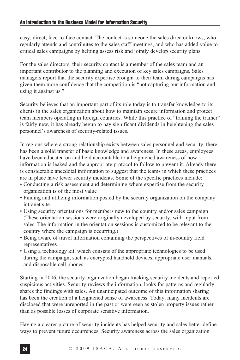easy, direct, face-to-face contact. The contact is someone the sales director knows, who regularly attends and contributes to the sales staff meetings, and who has added value to critical sales campaigns by helping assess risk and jointly develop security plans.

For the sales directors, their security contact is a member of the sales team and an important contributor to the planning and execution of key sales campaigns. Sales managers report that the security expertise brought to their team during campaigns has given them more confidence that the competition is "not capturing our information and using it against us."

Security believes that an important part of its role today is to transfer knowledge to its clients in the sales organization about how to maintain secure information and protect team members operating in foreign countries. While this practice of "training the trainer" is fairly new, it has already begun to pay significant dividends in heightening the sales personnel's awareness of security-related issues.

In regions where a strong relationship exists between sales personnel and security, there has been a solid transfer of basic knowledge and awareness. In these areas, employees have been educated on and held accountable to a heightened awareness of how information is leaked and the appropriate protocol to follow to prevent it. Already there is considerable anecdotal information to suggest that the teams in which these practices are in place have fewer security incidents. Some of the specific practices include:

- Conducting a risk assessment and determining where expertise from the security organization is of the most value
- Finding and utilizing information posted by the security organization on the company intranet site
- Using security orientations for members new to the country and/or sales campaign (These orientation sessions were originally developed by security, with input from sales. The information in the orientation sessions is customized to be relevant to the country where the campaign is occurring.)
- Being aware of travel information containing the perspectives of in-country field representatives
- Using a technology kit, which consists of the appropriate technologies to be used during the campaign, such as encrypted handheld devices, appropriate user manuals, and disposable cell phones

Starting in 2006, the security organization began tracking security incidents and reported suspicious activities. Security reviews the information, looks for patterns and regularly shares the findings with sales. An unanticipated outcome of this information sharing has been the creation of a heightened sense of awareness. Today, many incidents are disclosed that were unreported in the past or were seen as stolen property issues rather than as possible losses of corporate sensitive information.

Having a clearer picture of security incidents has helped security and sales better define ways to prevent future occurrences. Security awareness across the sales organization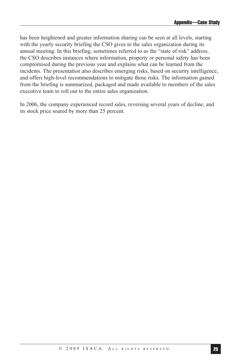has been heightened and greater information sharing can be seen at all levels, starting with the yearly security briefing the CSO gives to the sales organization during its annual meeting. In this briefing, sometimes referred to as the "state of risk" address, the CSO describes instances where information, property or personal safety has been compromised during the previous year and explains what can be learned from the incidents. The presentation also describes emerging risks, based on security intelligence, and offers high-level recommendations to mitigate those risks. The information gained from the briefing is summarized, packaged and made available to members of the sales executive team to roll out to the entire sales organization.

In 2006, the company experienced record sales, reversing several years of decline, and its stock price soared by more than 25 percent.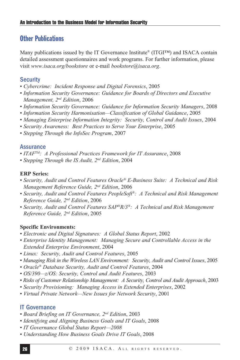# Other Publications

Many publications issued by the IT Governance Institute<sup>®</sup> (ITGI<sup>™)</sup> and ISACA contain detailed assessment questionnaires and work programs. For further information, please visit *www.isaca.org/bookstore* or e-mail *bookstore@isaca.org*.

# **Security**

- *Cybercrime: Incident Response and Digital Forensics*, 2005
- *Information Security Governance: Guidance for Boards of Directors and Executive Management, 2nd Edition*, 2006
- *Information Security Governance: Guidance for Information Security Managers*, 2008
- *Information Security Harmonisation—Classification of Global Guidance*, 2005
- *Managing Enterprise Information Integrity: Security, Control and Audit Issues*, 2004
- *Security Awareness: Best Practices to Serve Your Enterprise*, 2005
- *Stepping Through the InfoSec Program*, 2007

## Assurance

- *ITAFTM: A Professional Practices Framework for IT Assurance*, 2008
- *Stepping Through the IS Audit, 2nd Edition*, 2004

## **ERP Series:**

- *Security, Audit and Control Features Oracle® E-Business Suite: A Technical and Risk Management Reference Guide, 2nd Edition*, 2006
- *Security, Audit and Control Features PeopleSoft®: A Technical and Risk Management Reference Guide, 2nd Edition*, 2006
- *Security, Audit and Control Features SAP®R/3®: A Technical and Risk Management Reference Guide, 2nd Edition*, 2005

## **Specific Environments:**

- *Electronic and Digital Signatures: A Global Status Report*, 2002
- *Enterprise Identity Management: Managing Secure and Controllable Access in the Extended Enterprise Environment*, 2004
- *Linux: Security, Audit and Control Features*, 2005
- *Managing Risk in the Wireless LAN Environment: Security, Audit and Control Issues*, 2005
- *Oracle® Database Security, Audit and Control Features*, 2004
- *OS/390—z/OS: Security, Control and Audit Features*, 2003
- *Risks of Customer Relationship Management: A Security, Control and Audit Approach*, 2003
- *Security Provisioning: Managing Access in Extended Enterprises*, 2002
- *Virtual Private Network—New Issues for Network Security*, 2001

## IT Governance

- *Board Briefing on IT Governance, 2nd Edition*, 2003
- *Identifying and Aligning Business Goals and IT Goals*, 2008
- *IT Governance Global Status Report—2008*
- *Understanding How Business Goals Drive IT Goals*, 2008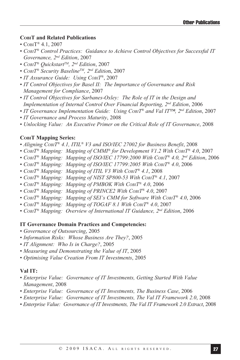#### **CobiT and Related Publications**

- $CorrT^*$  4.1, 2007
- *CobiT® Control Practices: Guidance to Achieve Control Objectives for Successful IT Governance, 2nd Edition*, 2007
- *CobiT® QuickstartTM, 2nd Edition*, 2007
- *CobiT® Security BaselineTM, 2nd Editio*n, 2007
- *IT Assurance Guide: Using CobiT®*, 2007
- *IT Control Objectives for Basel II: The Importance of Governance and Risk Management for Compliance*, 2007
- *IT Control Objectives for Sarbanes-Oxley: The Role of IT in the Design and Implementation of Internal Control Over Financial Reporting, 2nd Edition*, 2006
- *IT Governance Implementation Guide: Using CobiT® and Val IT™, 2nd Edition*, 2007
- *IT Governance and Process Maturity*, 2008
- *Unlocking Value: An Executive Primer on the Critical Role of IT Governance*, 2008

#### **CobiT Mapping Series:**

- *Aligning CobiT® 4.1, ITIL® V3 and ISO/IEC 27002 for Business Benefit*, 2008
- *CobiT® Mapping: Mapping of CMMI® for Development V1.2 With CobiT® 4.0, 2007*
- *CobiT® Mapping: Mapping of ISO/IEC 17799:2000 With CobiT® 4.0, 2nd Edition*, 2006
- *CobiT® Mapping: Mapping of ISO/IEC 17799:2005 With CobiT® 4.0*, 2006
- *CobiT® Mapping: Mapping of ITIL V3 With CobiT® 4.1*, 2008
- *CobiT® Mapping: Mapping of NIST SP800-53 With CobiT® 4.1*, 2007
- *CobiT® Mapping: Mapping of PMBOK With CobiT® 4.0*, 2006
- *CobiT® Mapping: Mapping of PRINCE2 With CobiT® 4.0*, 2007
- *CobiT® Mapping: Mapping of SEI's CMM for Software With CobiT® 4.0*, 2006
- *CobiT® Mapping: Mapping of TOGAF 8.1 With CobiT® 4.0*, 2007
- *CobiT® Mapping: Overview of International IT Guidance, 2nd Edition*, 2006

#### **IT Governance Domain Practices and Competencies:**

- *Governance of Outsourcing*, 2005
- *Information Risks: Whose Business Are They?*, 2005
- *IT Alignment: Who Is in Charge?*, 2005
- *Measuring and Demonstrating the Value of IT*, 2005
- *Optimising Value Creation From IT Investments*, 2005

#### **Val IT:**

- *Enterprise Value: Governance of IT Investments, Getting Started With Value Management*, 2008
- *Enterprise Value: Governance of IT Investments, The Business Case*, 2006
- *Enterprise Value: Governance of IT Investments, The Val IT Framework 2.0*, 2008
- *Enterprise Value: Governance of IT Investments, The Val IT Framework 2.0 Extract*, 2008